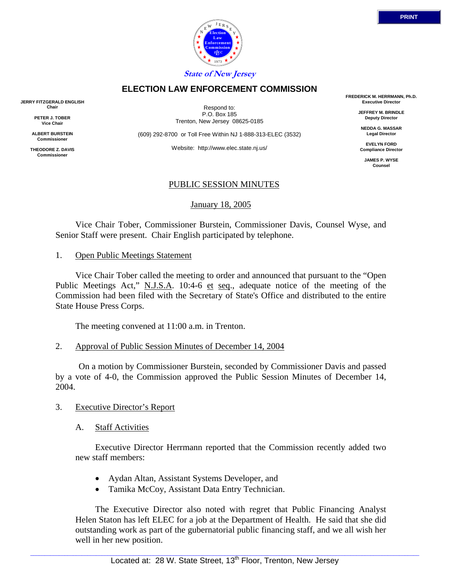



# **ELECTION LAW ENFORCEMENT COMMISSION**

**JERRY FITZGERALD ENGLISH Chair**

> **PETER J. TOBER Vice Chair**

**ALBERT BURSTEIN Commissioner** 

**THEODORE Z. DAVIS Commissione** 

Respond to: P.O. Box 185 Trenton, New Jersey 08625-0185

(609) 292-8700 or Toll Free Within NJ 1-888-313-ELEC (3532)

Website: http://www.elec.state.nj.us/

# PUBLIC SESSION MINUTES

January 18, 2005

 Vice Chair Tober, Commissioner Burstein, Commissioner Davis, Counsel Wyse, and Senior Staff were present. Chair English participated by telephone.

1. Open Public Meetings Statement

 Vice Chair Tober called the meeting to order and announced that pursuant to the "Open Public Meetings Act," N.J.S.A. 10:4-6 et seq., adequate notice of the meeting of the Commission had been filed with the Secretary of State's Office and distributed to the entire State House Press Corps.

The meeting convened at 11:00 a.m. in Trenton.

2. Approval of Public Session Minutes of December 14, 2004

 On a motion by Commissioner Burstein, seconded by Commissioner Davis and passed by a vote of 4-0, the Commission approved the Public Session Minutes of December 14, 2004.

# 3. Executive Director's Report

A. Staff Activities

 Executive Director Herrmann reported that the Commission recently added two new staff members:

- Aydan Altan, Assistant Systems Developer, and
- Tamika McCoy, Assistant Data Entry Technician.

 The Executive Director also noted with regret that Public Financing Analyst Helen Staton has left ELEC for a job at the Department of Health. He said that she did outstanding work as part of the gubernatorial public financing staff, and we all wish her well in her new position.

**FREDERICK M. HERRMANN, Ph.D. Executive Director**

> **JEFFREY M. BRINDLE Deputy Director**

**NEDDA G. MASSAR Legal Director**

**EVELYN FORD Compliance Director**

**JAMES P. WYSE Counsel**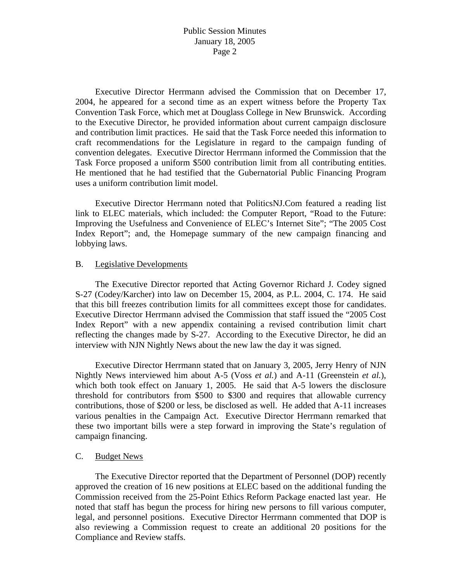Executive Director Herrmann advised the Commission that on December 17, 2004, he appeared for a second time as an expert witness before the Property Tax Convention Task Force, which met at Douglass College in New Brunswick. According to the Executive Director, he provided information about current campaign disclosure and contribution limit practices. He said that the Task Force needed this information to craft recommendations for the Legislature in regard to the campaign funding of convention delegates. Executive Director Herrmann informed the Commission that the Task Force proposed a uniform \$500 contribution limit from all contributing entities. He mentioned that he had testified that the Gubernatorial Public Financing Program uses a uniform contribution limit model.

 Executive Director Herrmann noted that PoliticsNJ.Com featured a reading list link to ELEC materials, which included: the Computer Report, "Road to the Future: Improving the Usefulness and Convenience of ELEC's Internet Site"; "The 2005 Cost Index Report"; and, the Homepage summary of the new campaign financing and lobbying laws.

#### B. Legislative Developments

 The Executive Director reported that Acting Governor Richard J. Codey signed S-27 (Codey/Karcher) into law on December 15, 2004, as P.L. 2004, C. 174. He said that this bill freezes contribution limits for all committees except those for candidates. Executive Director Herrmann advised the Commission that staff issued the "2005 Cost Index Report" with a new appendix containing a revised contribution limit chart reflecting the changes made by S-27. According to the Executive Director, he did an interview with NJN Nightly News about the new law the day it was signed.

 Executive Director Herrmann stated that on January 3, 2005, Jerry Henry of NJN Nightly News interviewed him about A-5 (Voss *et al.*) and A-11 (Greenstein *et al.*), which both took effect on January 1, 2005. He said that A-5 lowers the disclosure threshold for contributors from \$500 to \$300 and requires that allowable currency contributions, those of \$200 or less, be disclosed as well. He added that A-11 increases various penalties in the Campaign Act. Executive Director Herrmann remarked that these two important bills were a step forward in improving the State's regulation of campaign financing.

#### C. Budget News

 The Executive Director reported that the Department of Personnel (DOP) recently approved the creation of 16 new positions at ELEC based on the additional funding the Commission received from the 25-Point Ethics Reform Package enacted last year. He noted that staff has begun the process for hiring new persons to fill various computer, legal, and personnel positions. Executive Director Herrmann commented that DOP is also reviewing a Commission request to create an additional 20 positions for the Compliance and Review staffs.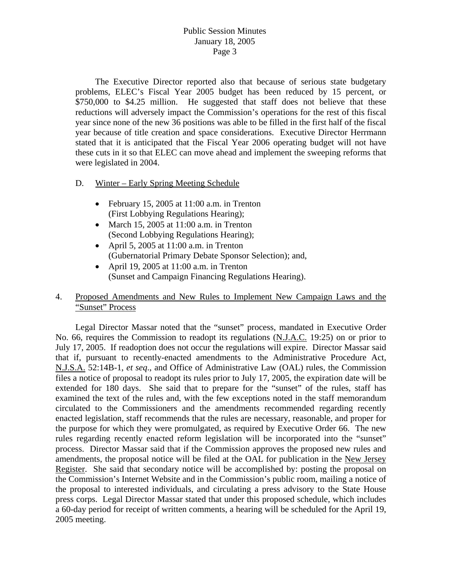The Executive Director reported also that because of serious state budgetary problems, ELEC's Fiscal Year 2005 budget has been reduced by 15 percent, or \$750,000 to \$4.25 million. He suggested that staff does not believe that these reductions will adversely impact the Commission's operations for the rest of this fiscal year since none of the new 36 positions was able to be filled in the first half of the fiscal year because of title creation and space considerations. Executive Director Herrmann stated that it is anticipated that the Fiscal Year 2006 operating budget will not have these cuts in it so that ELEC can move ahead and implement the sweeping reforms that were legislated in 2004.

- D. Winter Early Spring Meeting Schedule
	- February 15, 2005 at 11:00 a.m. in Trenton (First Lobbying Regulations Hearing);
	- March 15, 2005 at  $11:00$  a.m. in Trenton (Second Lobbying Regulations Hearing);
	- April 5, 2005 at 11:00 a.m. in Trenton (Gubernatorial Primary Debate Sponsor Selection); and,
	- April 19, 2005 at 11:00 a.m. in Trenton (Sunset and Campaign Financing Regulations Hearing).

## 4. Proposed Amendments and New Rules to Implement New Campaign Laws and the "Sunset" Process

 Legal Director Massar noted that the "sunset" process, mandated in Executive Order No. 66, requires the Commission to readopt its regulations (N.J.A.C. 19:25) on or prior to July 17, 2005. If readoption does not occur the regulations will expire. Director Massar said that if, pursuant to recently-enacted amendments to the Administrative Procedure Act, N.J.S.A. 52:14B-1, *et seq*., and Office of Administrative Law (OAL) rules, the Commission files a notice of proposal to readopt its rules prior to July 17, 2005, the expiration date will be extended for 180 days. She said that to prepare for the "sunset" of the rules, staff has examined the text of the rules and, with the few exceptions noted in the staff memorandum circulated to the Commissioners and the amendments recommended regarding recently enacted legislation, staff recommends that the rules are necessary, reasonable, and proper for the purpose for which they were promulgated, as required by Executive Order 66. The new rules regarding recently enacted reform legislation will be incorporated into the "sunset" process. Director Massar said that if the Commission approves the proposed new rules and amendments, the proposal notice will be filed at the OAL for publication in the New Jersey Register. She said that secondary notice will be accomplished by: posting the proposal on the Commission's Internet Website and in the Commission's public room, mailing a notice of the proposal to interested individuals, and circulating a press advisory to the State House press corps. Legal Director Massar stated that under this proposed schedule, which includes a 60-day period for receipt of written comments, a hearing will be scheduled for the April 19, 2005 meeting.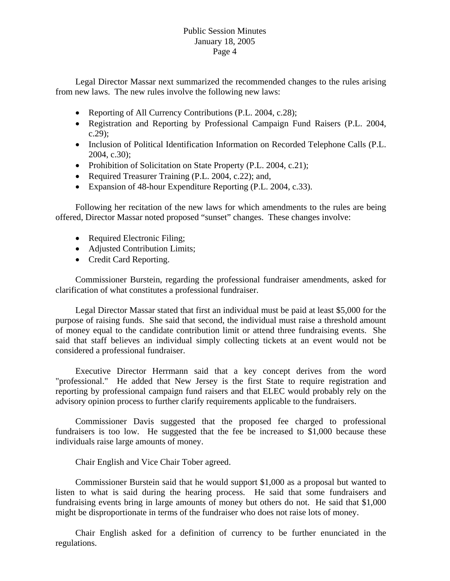Legal Director Massar next summarized the recommended changes to the rules arising from new laws. The new rules involve the following new laws:

- Reporting of All Currency Contributions (P.L. 2004, c.28);
- Registration and Reporting by Professional Campaign Fund Raisers (P.L. 2004, c.29);
- Inclusion of Political Identification Information on Recorded Telephone Calls (P.L. 2004, c.30);
- Prohibition of Solicitation on State Property (P.L. 2004, c.21);
- Required Treasurer Training (P.L. 2004, c.22); and,
- Expansion of 48-hour Expenditure Reporting (P.L. 2004, c.33).

 Following her recitation of the new laws for which amendments to the rules are being offered, Director Massar noted proposed "sunset" changes. These changes involve:

- Required Electronic Filing;
- Adjusted Contribution Limits;
- Credit Card Reporting.

 Commissioner Burstein, regarding the professional fundraiser amendments, asked for clarification of what constitutes a professional fundraiser.

 Legal Director Massar stated that first an individual must be paid at least \$5,000 for the purpose of raising funds. She said that second, the individual must raise a threshold amount of money equal to the candidate contribution limit or attend three fundraising events. She said that staff believes an individual simply collecting tickets at an event would not be considered a professional fundraiser.

 Executive Director Herrmann said that a key concept derives from the word "professional." He added that New Jersey is the first State to require registration and reporting by professional campaign fund raisers and that ELEC would probably rely on the advisory opinion process to further clarify requirements applicable to the fundraisers.

 Commissioner Davis suggested that the proposed fee charged to professional fundraisers is too low. He suggested that the fee be increased to \$1,000 because these individuals raise large amounts of money.

Chair English and Vice Chair Tober agreed.

 Commissioner Burstein said that he would support \$1,000 as a proposal but wanted to listen to what is said during the hearing process. He said that some fundraisers and fundraising events bring in large amounts of money but others do not. He said that \$1,000 might be disproportionate in terms of the fundraiser who does not raise lots of money.

 Chair English asked for a definition of currency to be further enunciated in the regulations.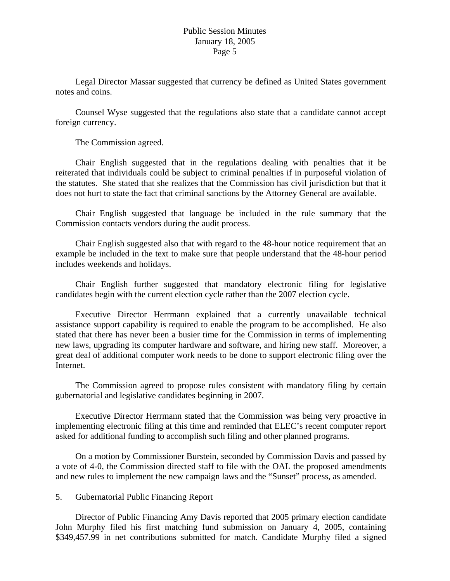Legal Director Massar suggested that currency be defined as United States government notes and coins.

 Counsel Wyse suggested that the regulations also state that a candidate cannot accept foreign currency.

The Commission agreed.

 Chair English suggested that in the regulations dealing with penalties that it be reiterated that individuals could be subject to criminal penalties if in purposeful violation of the statutes. She stated that she realizes that the Commission has civil jurisdiction but that it does not hurt to state the fact that criminal sanctions by the Attorney General are available.

 Chair English suggested that language be included in the rule summary that the Commission contacts vendors during the audit process.

 Chair English suggested also that with regard to the 48-hour notice requirement that an example be included in the text to make sure that people understand that the 48-hour period includes weekends and holidays.

 Chair English further suggested that mandatory electronic filing for legislative candidates begin with the current election cycle rather than the 2007 election cycle.

 Executive Director Herrmann explained that a currently unavailable technical assistance support capability is required to enable the program to be accomplished. He also stated that there has never been a busier time for the Commission in terms of implementing new laws, upgrading its computer hardware and software, and hiring new staff. Moreover, a great deal of additional computer work needs to be done to support electronic filing over the Internet.

 The Commission agreed to propose rules consistent with mandatory filing by certain gubernatorial and legislative candidates beginning in 2007.

 Executive Director Herrmann stated that the Commission was being very proactive in implementing electronic filing at this time and reminded that ELEC's recent computer report asked for additional funding to accomplish such filing and other planned programs.

 On a motion by Commissioner Burstein, seconded by Commission Davis and passed by a vote of 4-0, the Commission directed staff to file with the OAL the proposed amendments and new rules to implement the new campaign laws and the "Sunset" process, as amended.

#### 5. Gubernatorial Public Financing Report

Director of Public Financing Amy Davis reported that 2005 primary election candidate John Murphy filed his first matching fund submission on January 4, 2005, containing \$349,457.99 in net contributions submitted for match. Candidate Murphy filed a signed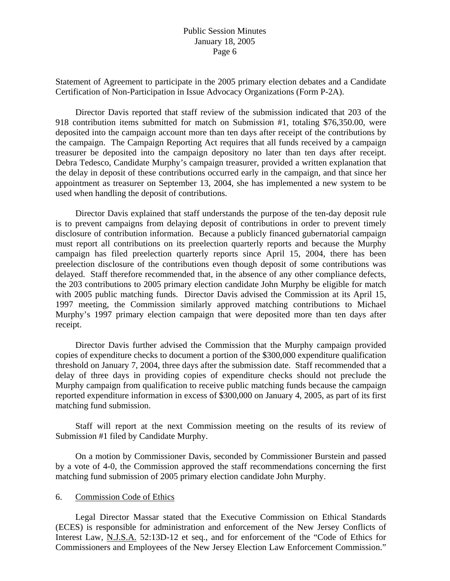Statement of Agreement to participate in the 2005 primary election debates and a Candidate Certification of Non-Participation in Issue Advocacy Organizations (Form P-2A).

Director Davis reported that staff review of the submission indicated that 203 of the 918 contribution items submitted for match on Submission #1, totaling \$76,350.00, were deposited into the campaign account more than ten days after receipt of the contributions by the campaign. The Campaign Reporting Act requires that all funds received by a campaign treasurer be deposited into the campaign depository no later than ten days after receipt. Debra Tedesco, Candidate Murphy's campaign treasurer, provided a written explanation that the delay in deposit of these contributions occurred early in the campaign, and that since her appointment as treasurer on September 13, 2004, she has implemented a new system to be used when handling the deposit of contributions.

Director Davis explained that staff understands the purpose of the ten-day deposit rule is to prevent campaigns from delaying deposit of contributions in order to prevent timely disclosure of contribution information. Because a publicly financed gubernatorial campaign must report all contributions on its preelection quarterly reports and because the Murphy campaign has filed preelection quarterly reports since April 15, 2004, there has been preelection disclosure of the contributions even though deposit of some contributions was delayed. Staff therefore recommended that, in the absence of any other compliance defects, the 203 contributions to 2005 primary election candidate John Murphy be eligible for match with 2005 public matching funds. Director Davis advised the Commission at its April 15, 1997 meeting, the Commission similarly approved matching contributions to Michael Murphy's 1997 primary election campaign that were deposited more than ten days after receipt.

Director Davis further advised the Commission that the Murphy campaign provided copies of expenditure checks to document a portion of the \$300,000 expenditure qualification threshold on January 7, 2004, three days after the submission date. Staff recommended that a delay of three days in providing copies of expenditure checks should not preclude the Murphy campaign from qualification to receive public matching funds because the campaign reported expenditure information in excess of \$300,000 on January 4, 2005, as part of its first matching fund submission.

Staff will report at the next Commission meeting on the results of its review of Submission #1 filed by Candidate Murphy.

On a motion by Commissioner Davis, seconded by Commissioner Burstein and passed by a vote of 4-0, the Commission approved the staff recommendations concerning the first matching fund submission of 2005 primary election candidate John Murphy.

#### 6. Commission Code of Ethics

 Legal Director Massar stated that the Executive Commission on Ethical Standards (ECES) is responsible for administration and enforcement of the New Jersey Conflicts of Interest Law, N.J.S.A. 52:13D-12 et seq., and for enforcement of the "Code of Ethics for Commissioners and Employees of the New Jersey Election Law Enforcement Commission."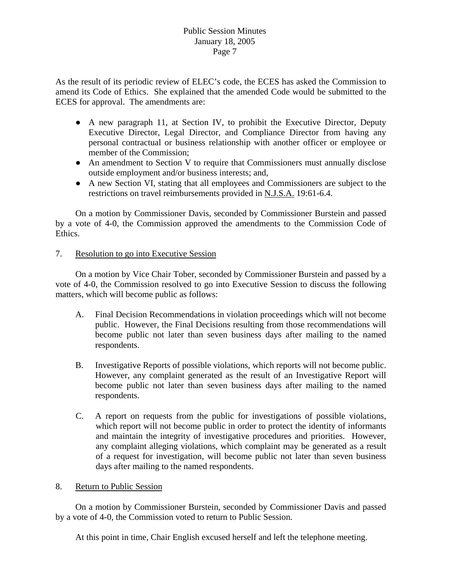As the result of its periodic review of ELEC's code, the ECES has asked the Commission to amend its Code of Ethics. She explained that the amended Code would be submitted to the ECES for approval. The amendments are:

- A new paragraph 11, at Section IV, to prohibit the Executive Director, Deputy Executive Director, Legal Director, and Compliance Director from having any personal contractual or business relationship with another officer or employee or member of the Commission;
- An amendment to Section V to require that Commissioners must annually disclose outside employment and/or business interests; and,
- A new Section VI, stating that all employees and Commissioners are subject to the restrictions on travel reimbursements provided in N.J.S.A. 19:61-6.4.

 On a motion by Commissioner Davis, seconded by Commissioner Burstein and passed by a vote of 4-0, the Commission approved the amendments to the Commission Code of Ethics.

7. Resolution to go into Executive Session

 On a motion by Vice Chair Tober, seconded by Commissioner Burstein and passed by a vote of 4-0, the Commission resolved to go into Executive Session to discuss the following matters, which will become public as follows:

- A. Final Decision Recommendations in violation proceedings which will not become public. However, the Final Decisions resulting from those recommendations will become public not later than seven business days after mailing to the named respondents.
- B. Investigative Reports of possible violations, which reports will not become public. However, any complaint generated as the result of an Investigative Report will become public not later than seven business days after mailing to the named respondents.
- C. A report on requests from the public for investigations of possible violations, which report will not become public in order to protect the identity of informants and maintain the integrity of investigative procedures and priorities. However, any complaint alleging violations, which complaint may be generated as a result of a request for investigation, will become public not later than seven business days after mailing to the named respondents.
- 8. Return to Public Session

On a motion by Commissioner Burstein, seconded by Commissioner Davis and passed by a vote of 4-0, the Commission voted to return to Public Session.

At this point in time, Chair English excused herself and left the telephone meeting.